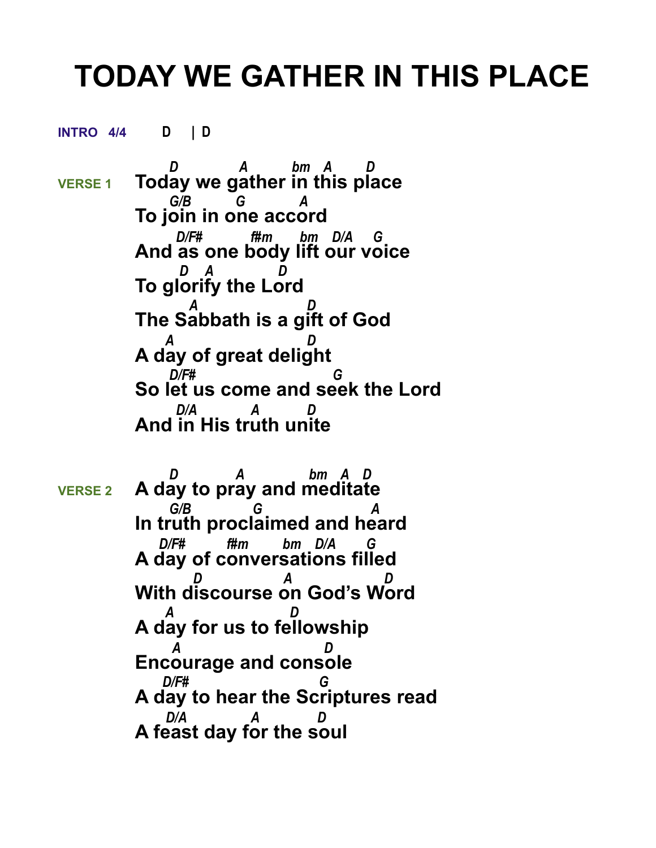## **TODAY WE GATHER IN THIS PLACE**

**INTRO 4/4 D | D** 

 *D A bm A D*  **VERSE 1 Today we gather in this place**  *G/B G A* **To join in one accord**  *D/F# f#m bm D/A G* **And as one body lift our voice**  *D A D* **To glorify the Lord**  *A D* **The Sabbath is a gift of God**  *A D* **A day of great delight**  *D/F# G* **So let us come and seek the Lord**  *D/A A D*  **And in His truth unite**

 *D A bm A D*  **VERSE 2 A day to pray and meditate**  *G/B G A* **In truth proclaimed and heard**  *D/F# f#m bm D/A G* **A day of conversations filled**  *D A D* **With discourse on God's Word**  *A D* **A day for us to fellowship**  *A D* **Encourage and console**  *D/F# G* **A day to hear the Scriptures read**  *D/A A D*  **A feast day for the soul**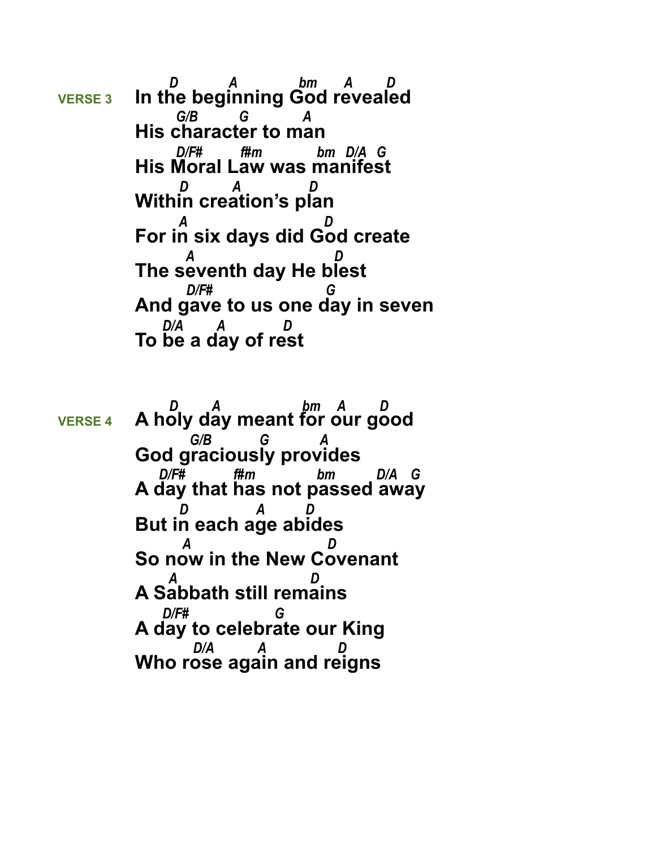*D A bm A D*  **VERSE 3 In the beginning God revealed**  *G/B G A* **His character to man**  *D/F# f#m bm D/A G* **His Moral Law was manifest**  *D A D* **Within creation's plan**  *A D* **For in six days did God create**  *A D* **The seventh day He blest**  *D/F# G* **And gave to us one day in seven** *D/A A* **To be a day of rest**

 *D A bm A D*  **VERSE 4 A holy day meant for our good**  *G/B G A* **God graciously provides**  *D/F# f#m bm D/A G* **A day that has not passed away**  *D A D* **But in each age abides**  *A D* **So now in the New Covenant**  *A D* **A Sabbath still remains**  *D/F# G* **A day to celebrate our King**  *D/A A D*  **Who rose again and reigns**